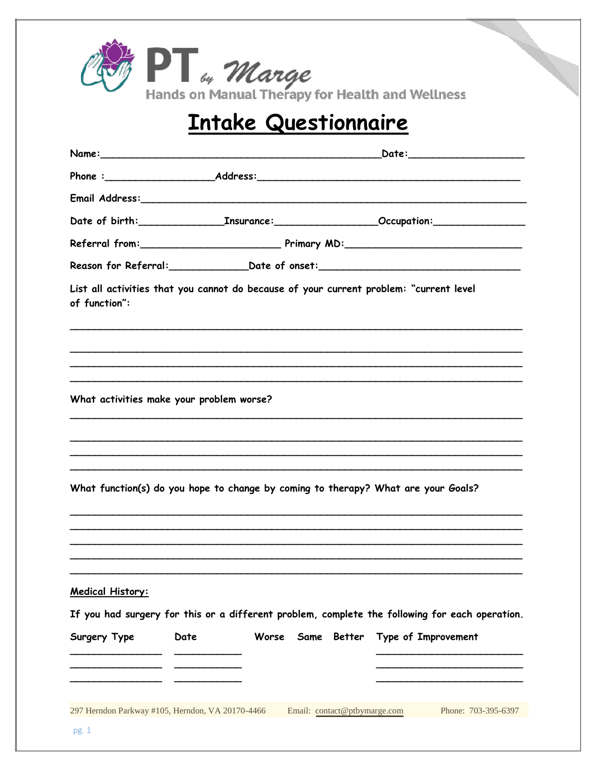

## Intake Questionnaire

| Phone :________________________________Address:__________________________________                                         |      |       |                              |             |                     |  |
|---------------------------------------------------------------------------------------------------------------------------|------|-------|------------------------------|-------------|---------------------|--|
| Email Address: No. 1997 - Alexander Manual Address: No. 1997 - Alexander Manual Address:                                  |      |       |                              |             |                     |  |
|                                                                                                                           |      |       |                              |             |                     |  |
|                                                                                                                           |      |       |                              |             |                     |  |
| Reason for Referral:_________________Date of onset:_____________________________                                          |      |       |                              |             |                     |  |
| List all activities that you cannot do because of your current problem: "current level<br>of function":                   |      |       |                              |             |                     |  |
|                                                                                                                           |      |       |                              |             |                     |  |
| What activities make your problem worse?                                                                                  |      |       |                              |             |                     |  |
|                                                                                                                           |      |       |                              |             |                     |  |
|                                                                                                                           |      |       |                              |             |                     |  |
| What function(s) do you hope to change by coming to therapy? What are your Goals?                                         |      |       |                              |             |                     |  |
| <b>Medical History:</b><br>If you had surgery for this or a different problem, complete the following for each operation. |      |       |                              |             |                     |  |
| Surgery Type                                                                                                              | Date | Worse |                              | Same Better | Type of Improvement |  |
|                                                                                                                           |      |       |                              |             |                     |  |
|                                                                                                                           |      |       |                              |             |                     |  |
| 297 Herndon Parkway #105, Herndon, VA 20170-4466<br>pg. 1                                                                 |      |       | Email: contact@ptbymarge.com |             | Phone: 703-395-6397 |  |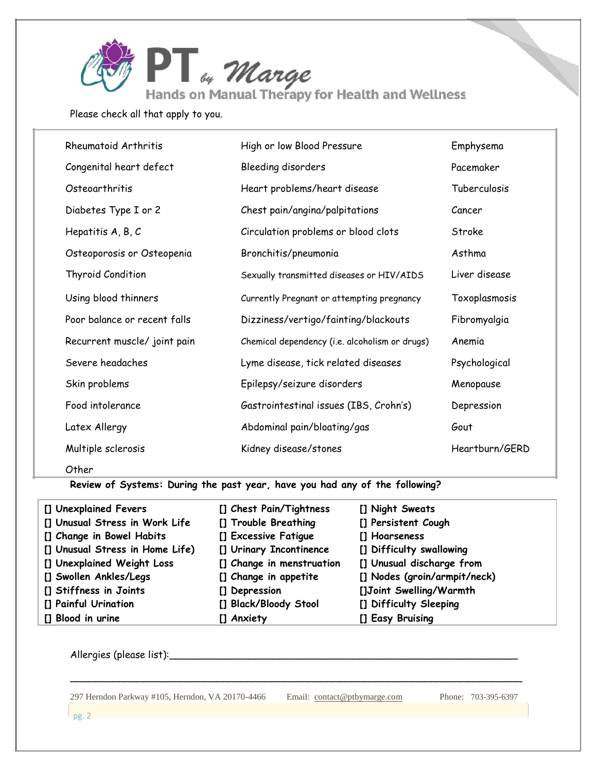

Please check all that apply to you.

| Rheumatoid Arthritis         | High or low Blood Pressure                     | Emphysema      |  |
|------------------------------|------------------------------------------------|----------------|--|
| Congenital heart defect      | Bleeding disorders                             | Pacemaker      |  |
| Osteoarthritis               | Heart problems/heart disease                   | Tuberculosis   |  |
| Diabetes Type I or 2         | Chest pain/angina/palpitations                 | Cancer         |  |
| Hepatitis $A, B, C$          | Circulation problems or blood clots            | Stroke         |  |
| Osteoporosis or Osteopenia   | Bronchitis/pneumonia                           | Asthma         |  |
| Thyroid Condition            | Sexually transmitted diseases or HIV/AIDS      | Liver disease  |  |
| Using blood thinners         | Currently Pregnant or attempting pregnancy     | Toxoplasmosis  |  |
| Poor balance or recent falls | Dizziness/vertigo/fainting/blackouts           | Fibromyalgia   |  |
| Recurrent muscle/ joint pain | Chemical dependency (i.e. alcoholism or drugs) | Anemia         |  |
| Severe headaches             | Lyme disease, tick related diseases            | Psychological  |  |
| Skin problems                | Epilepsy/seizure disorders                     | Menopause      |  |
| Food intolerance             | Gastrointestinal issues (IBS, Crohn's)         | Depression     |  |
| Latex Allergy                | Abdominal pain/bloating/gas                    | Gout           |  |
| Multiple sclerosis           | Kidney disease/stones                          | Heartburn/GERD |  |
|                              |                                                |                |  |

Other

**Review of Systems: During the past year, have you had any of the following?**

| [] Unexplained Fevers           | [] Chest Pain/Tightness   | [] Night Sweats              |
|---------------------------------|---------------------------|------------------------------|
| [] Unusual Stress in Work Life  | [] Trouble Breathing      | [] Persistent Cough          |
| [] Change in Bowel Habits       | [] Excessive Fatigue      | [] Hoarseness                |
| [] Unusual Stress in Home Life) | [] Urinary Incontinence   | [] Difficulty swallowing     |
| [] Unexplained Weight Loss      | [] Change in menstruation | [] Unusual discharge from    |
| [] Swollen Ankles/Legs          | [] Change in appetite     | [] Nodes (groin/armpit/neck) |
| [] Stiffness in Joints          | [] Depression             | []Joint Swelling/Warmth      |
| [] Painful Urination            | [] Black/Bloody Stool     | [] Difficulty Sleeping       |
| [] Blood in urine               | [] Anxiety                | [] Easy Bruising             |

\_\_\_\_\_\_\_\_\_\_\_\_\_\_\_\_\_\_\_\_\_\_\_\_\_\_\_\_\_\_\_\_\_\_\_\_\_\_\_\_\_\_\_\_\_\_\_\_\_\_\_\_\_\_\_\_\_\_\_\_\_\_\_\_\_\_\_\_\_\_\_\_\_\_

Allergies (please list):\_\_\_\_\_\_\_\_\_\_\_\_\_\_\_\_\_\_\_\_\_\_\_\_\_\_\_\_\_\_\_\_\_\_\_\_\_\_\_\_\_\_\_\_\_\_\_\_\_\_\_\_\_\_\_\_\_